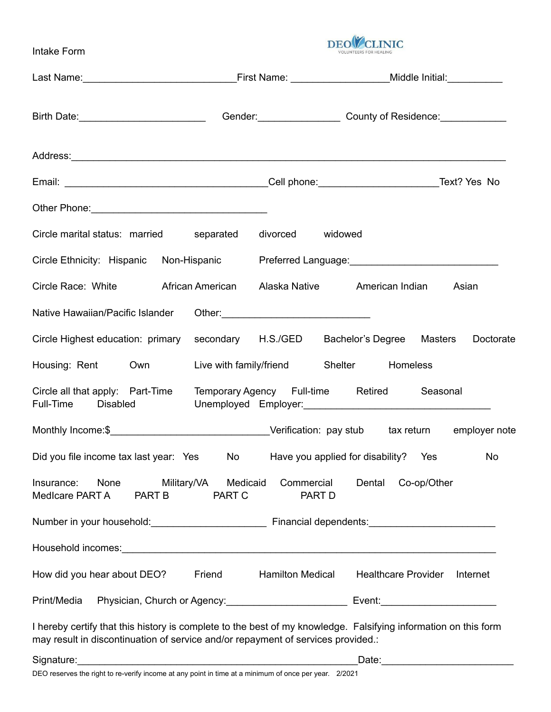Intake Form



| Other Phone: 2000 Charles Communication of the Charles Charles Charles Charles Charles Charles Charles Charles Charles Charles Charles Charles Charles Charles Charles Charles Charles Charles Charles Charles Charles Charles |                                              |                                        |
|--------------------------------------------------------------------------------------------------------------------------------------------------------------------------------------------------------------------------------|----------------------------------------------|----------------------------------------|
| Circle marital status: married separated                                                                                                                                                                                       | divorced widowed                             |                                        |
| Circle Ethnicity: Hispanic Non-Hispanic Preferred Language: [10] Preferred Language:                                                                                                                                           |                                              |                                        |
| Circle Race: White <b>African American</b> Alaska Native American Indian                                                                                                                                                       |                                              | Asian                                  |
| Native Hawaiian/Pacific Islander                                                                                                                                                                                               |                                              |                                        |
| Circle Highest education: primary                                                                                                                                                                                              | secondary H.S./GED Bachelor's Degree Masters | Doctorate                              |
| Housing: Rent Own                                                                                                                                                                                                              | Live with family/friend Shelter Homeless     |                                        |
| Circle all that apply: Part-Time Temporary Agency Full-time Retired<br>Full-Time Disabled                                                                                                                                      |                                              | Seasonal                               |
|                                                                                                                                                                                                                                |                                              |                                        |
| Did you file income tax last year: Yes No Have you applied for disability? Yes                                                                                                                                                 |                                              | No                                     |
| Military/VA<br>None<br>Insurance:<br>Medicare PART A<br><b>PART B</b>                                                                                                                                                          | Commercial<br>Medicaid<br>PART C<br>PART D   | Dental<br>Co-op/Other                  |
|                                                                                                                                                                                                                                |                                              |                                        |
| Household incomes: <u>example and the contract of the contract of the contract of the contract of the contract of</u>                                                                                                          |                                              |                                        |
| Friend<br>How did you hear about DEO?                                                                                                                                                                                          | <b>Hamilton Medical</b>                      | <b>Healthcare Provider</b><br>Internet |
| Print/Media                                                                                                                                                                                                                    |                                              |                                        |
| I hereby certify that this history is complete to the best of my knowledge. Falsifying information on this form<br>may result in discontinuation of service and/or repayment of services provided.:                            |                                              |                                        |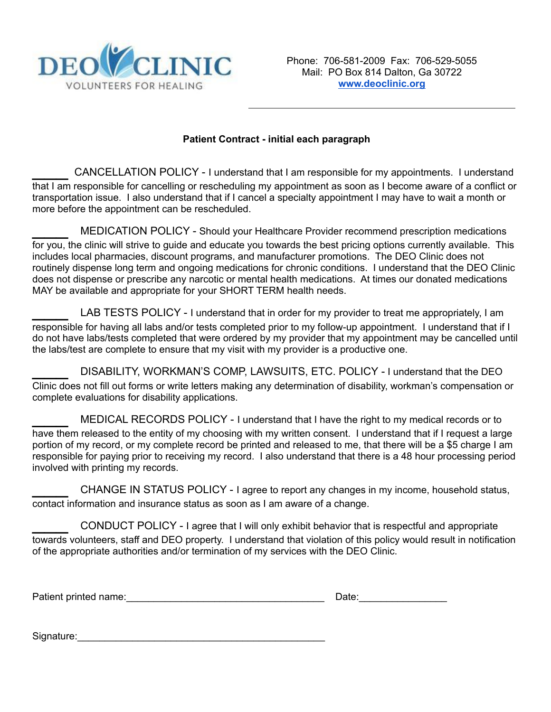

## **Patient Contract - initial each paragraph**

CANCELLATION POLICY - I understand that I am responsible for my appointments. I understand that I am responsible for cancelling or rescheduling my appointment as soon as I become aware of a conflict or transportation issue. I also understand that if I cancel a specialty appointment I may have to wait a month or more before the appointment can be rescheduled.

MEDICATION POLICY - Should your Healthcare Provider recommend prescription medications for you, the clinic will strive to guide and educate you towards the best pricing options currently available. This includes local pharmacies, discount programs, and manufacturer promotions. The DEO Clinic does not routinely dispense long term and ongoing medications for chronic conditions. I understand that the DEO Clinic does not dispense or prescribe any narcotic or mental health medications. At times our donated medications MAY be available and appropriate for your SHORT TERM health needs.

LAB TESTS POLICY - I understand that in order for my provider to treat me appropriately, I am responsible for having all labs and/or tests completed prior to my follow-up appointment. I understand that if I do not have labs/tests completed that were ordered by my provider that my appointment may be cancelled until the labs/test are complete to ensure that my visit with my provider is a productive one.

DISABILITY, WORKMAN'S COMP, LAWSUITS, ETC. POLICY - I understand that the DEO Clinic does not fill out forms or write letters making any determination of disability, workman's compensation or complete evaluations for disability applications.

MEDICAL RECORDS POLICY - I understand that I have the right to my medical records or to have them released to the entity of my choosing with my written consent. I understand that if I request a large portion of my record, or my complete record be printed and released to me, that there will be a \$5 charge I am responsible for paying prior to receiving my record. I also understand that there is a 48 hour processing period involved with printing my records.

CHANGE IN STATUS POLICY - I agree to report any changes in my income, household status, contact information and insurance status as soon as I am aware of a change.

\_\_\_ CONDUCT POLICY - <sup>I</sup> agree that <sup>I</sup> will only exhibit behavior that is respectful and appropriate towards volunteers, staff and DEO property. I understand that violation of this policy would result in notification of the appropriate authorities and/or termination of my services with the DEO Clinic.

Patient printed name:  $\Box$ 

| Date: |  |  |  |  |  |
|-------|--|--|--|--|--|
|       |  |  |  |  |  |

Signature:\_\_\_\_\_\_\_\_\_\_\_\_\_\_\_\_\_\_\_\_\_\_\_\_\_\_\_\_\_\_\_\_\_\_\_\_\_\_\_\_\_\_\_\_\_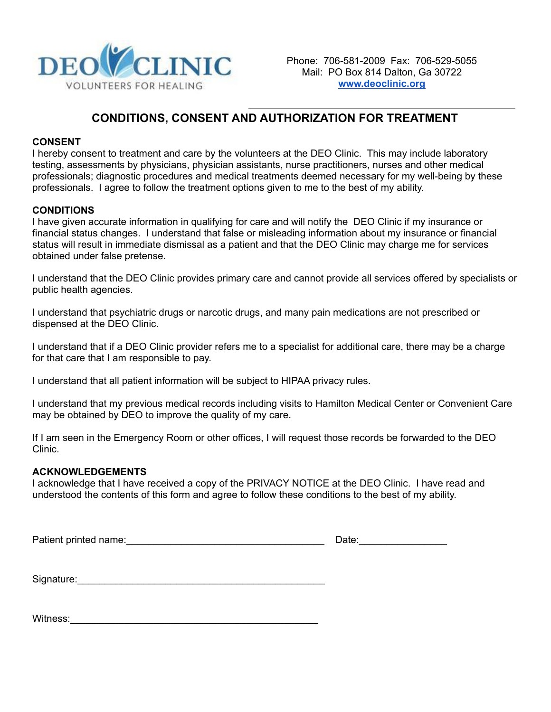

# **CONDITIONS, CONSENT AND AUTHORIZATION FOR TREATMENT**

### **CONSENT**

I hereby consent to treatment and care by the volunteers at the DEO Clinic. This may include laboratory testing, assessments by physicians, physician assistants, nurse practitioners, nurses and other medical professionals; diagnostic procedures and medical treatments deemed necessary for my well-being by these professionals. I agree to follow the treatment options given to me to the best of my ability.

## **CONDITIONS**

I have given accurate information in qualifying for care and will notify the DEO Clinic if my insurance or financial status changes. I understand that false or misleading information about my insurance or financial status will result in immediate dismissal as a patient and that the DEO Clinic may charge me for services obtained under false pretense.

I understand that the DEO Clinic provides primary care and cannot provide all services offered by specialists or public health agencies.

I understand that psychiatric drugs or narcotic drugs, and many pain medications are not prescribed or dispensed at the DEO Clinic.

I understand that if a DEO Clinic provider refers me to a specialist for additional care, there may be a charge for that care that I am responsible to pay.

I understand that all patient information will be subject to HIPAA privacy rules.

I understand that my previous medical records including visits to Hamilton Medical Center or Convenient Care may be obtained by DEO to improve the quality of my care.

If I am seen in the Emergency Room or other offices, I will request those records be forwarded to the DEO Clinic.

### **ACKNOWLEDGEMENTS**

I acknowledge that I have received a copy of the PRIVACY NOTICE at the DEO Clinic. I have read and understood the contents of this form and agree to follow these conditions to the best of my ability.

Patient printed name: example and the set of the set of the set of the Date:

Signature:

Witness: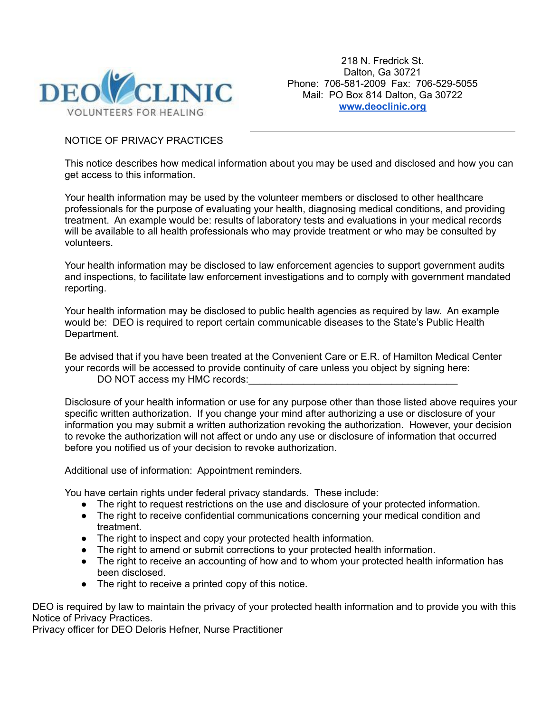

218 N. Fredrick St. Dalton, Ga 30721 Phone: 706-581-2009 Fax: 706-529-5055 Mail: PO Box 814 Dalton, Ga 30722 **[www.deoclinic.org](http://www.deoclinic.org)**

## NOTICE OF PRIVACY PRACTICES

This notice describes how medical information about you may be used and disclosed and how you can get access to this information.

Your health information may be used by the volunteer members or disclosed to other healthcare professionals for the purpose of evaluating your health, diagnosing medical conditions, and providing treatment. An example would be: results of laboratory tests and evaluations in your medical records will be available to all health professionals who may provide treatment or who may be consulted by volunteers.

Your health information may be disclosed to law enforcement agencies to support government audits and inspections, to facilitate law enforcement investigations and to comply with government mandated reporting.

Your health information may be disclosed to public health agencies as required by law. An example would be: DEO is required to report certain communicable diseases to the State's Public Health Department.

Be advised that if you have been treated at the Convenient Care or E.R. of Hamilton Medical Center your records will be accessed to provide continuity of care unless you object by signing here: DO NOT access my HMC records:

Disclosure of your health information or use for any purpose other than those listed above requires your specific written authorization. If you change your mind after authorizing a use or disclosure of your information you may submit a written authorization revoking the authorization. However, your decision to revoke the authorization will not affect or undo any use or disclosure of information that occurred before you notified us of your decision to revoke authorization.

Additional use of information: Appointment reminders.

You have certain rights under federal privacy standards. These include:

- The right to request restrictions on the use and disclosure of your protected information.
- The right to receive confidential communications concerning your medical condition and treatment.
- The right to inspect and copy your protected health information.
- The right to amend or submit corrections to your protected health information.
- The right to receive an accounting of how and to whom your protected health information has been disclosed.
- The right to receive a printed copy of this notice.

DEO is required by law to maintain the privacy of your protected health information and to provide you with this Notice of Privacy Practices.

Privacy officer for DEO Deloris Hefner, Nurse Practitioner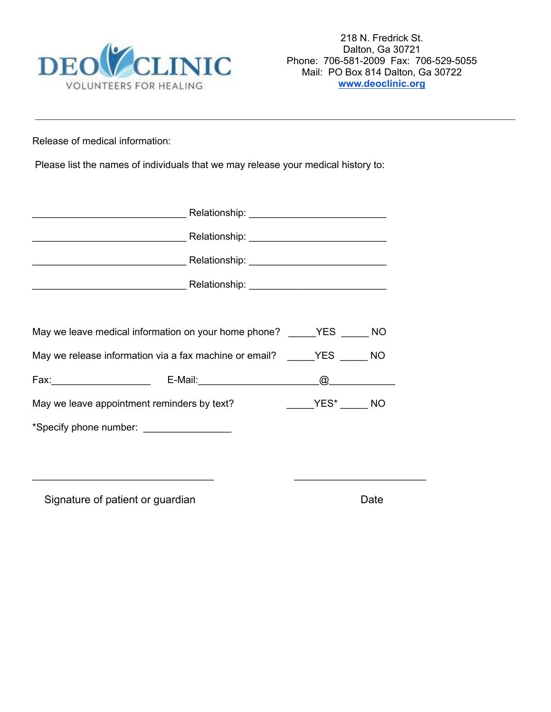

Release of medical information:

Please list the names of individuals that we may release your medical history to:

| May we leave medical information on your home phone? _____YES _____ NO    |  |  |  |  |  |
|---------------------------------------------------------------------------|--|--|--|--|--|
| May we release information via a fax machine or email? The State State NO |  |  |  |  |  |
|                                                                           |  |  |  |  |  |
| May we leave appointment reminders by text?                               |  |  |  |  |  |
|                                                                           |  |  |  |  |  |
|                                                                           |  |  |  |  |  |
|                                                                           |  |  |  |  |  |

Signature of patient or guardian Date Date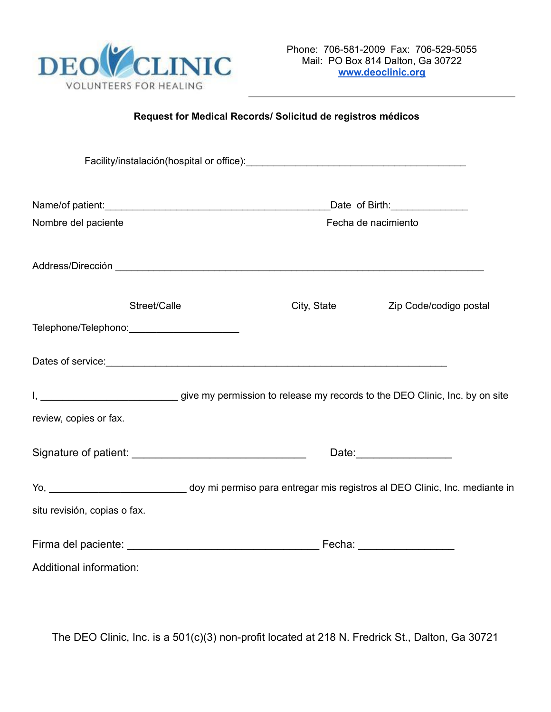

# **Request for Medical Records/ Solicitud de registros médicos**

|                                                                                                                                                                                                                                      |                     | Date of Birth: ________________ |
|--------------------------------------------------------------------------------------------------------------------------------------------------------------------------------------------------------------------------------------|---------------------|---------------------------------|
| Nombre del paciente                                                                                                                                                                                                                  | Fecha de nacimiento |                                 |
| Address/Dirección <b>contra a la contra a la contra a la contra a la contra a la contra a la contra a la contra a la contra a la contra a la contra a la contra a la contra a la contra a la contra a la contra a la contra a la</b> |                     |                                 |
| Street/Calle                                                                                                                                                                                                                         | City, State         | Zip Code/codigo postal          |
| Telephone/Telephono: ________________________                                                                                                                                                                                        |                     |                                 |
| Dates of service: example and a service of service and a service of service and a service of service:                                                                                                                                |                     |                                 |
| I, __________________________________give my permission to release my records to the DEO Clinic, Inc. by on site                                                                                                                     |                     |                                 |
| review, copies or fax.                                                                                                                                                                                                               |                     |                                 |
|                                                                                                                                                                                                                                      |                     |                                 |
| Yo, ________________________________ doy mi permiso para entregar mis registros al DEO Clinic, Inc. mediante in                                                                                                                      |                     |                                 |
| situ revisión, copias o fax.                                                                                                                                                                                                         |                     |                                 |
|                                                                                                                                                                                                                                      |                     |                                 |
| Additional information:                                                                                                                                                                                                              |                     |                                 |

The DEO Clinic, Inc. is a 501(c)(3) non-profit located at 218 N. Fredrick St., Dalton, Ga 30721